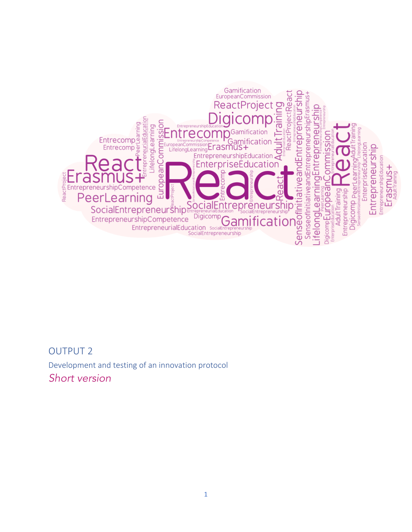

## OUTPUT 2

Development and testing of an innovation protocol *Short version*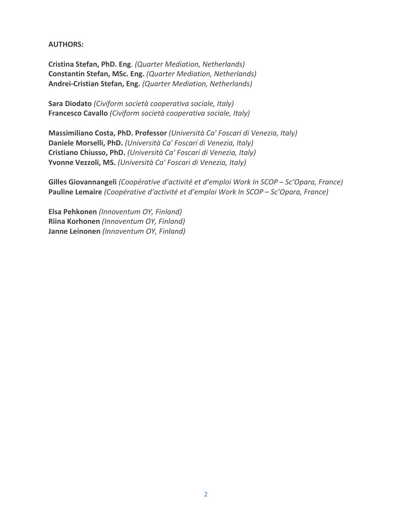**AUTHORS:** 

**Cristina Stefan, PhD. Eng**. *(Quarter Mediation, Netherlands)* **Constantin Stefan, MSc. Eng.** *(Quarter Mediation, Netherlands)* **Andrei-Cristian Stefan, Eng.** *(Quarter Mediation, Netherlands)*

Sara Diodato (Civiform società cooperativa sociale, Italy) **Francesco Cavallo** (Civiform società cooperativa sociale, Italy)

**Massimiliano Costa, PhD. Professor** *(Università Ca' Foscari di Venezia, Italy)* **Daniele Morselli, PhD.** *(Università Ca' Foscari di Venezia, Italy)* **Cristiano Chiusso, PhD.** *(Università Ca' Foscari di Venezia, Italy)* Yvonne Vezzoli, MS. (Università Ca' Foscari di Venezia, Italy)

**Gilles Giovannangeli** *(Coopérative d'activité et d'emploi Work In SCOP – Sc'Opara, France)* **Pauline Lemaire** *(Coopérative d'activité et d'emploi Work In SCOP – Sc'Opara, France)* 

Elsa Pehkonen (Innoventum OY, Finland) **Riina Korhonen** (Innoventum OY, Finland) **Janne Leinonen** *(Innoventum OY, Finland)*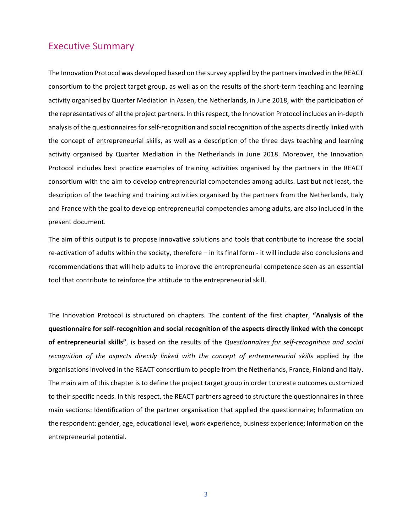## **Executive Summary**

The Innovation Protocol was developed based on the survey applied by the partners involved in the REACT consortium to the project target group, as well as on the results of the short-term teaching and learning activity organised by Quarter Mediation in Assen, the Netherlands, in June 2018, with the participation of the representatives of all the project partners. In this respect, the Innovation Protocol includes an in-depth analysis of the questionnaires for self-recognition and social recognition of the aspects directly linked with the concept of entrepreneurial skills, as well as a description of the three days teaching and learning activity organised by Quarter Mediation in the Netherlands in June 2018. Moreover, the Innovation Protocol includes best practice examples of training activities organised by the partners in the REACT consortium with the aim to develop entrepreneurial competencies among adults. Last but not least, the description of the teaching and training activities organised by the partners from the Netherlands, Italy and France with the goal to develop entrepreneurial competencies among adults, are also included in the present document.

The aim of this output is to propose innovative solutions and tools that contribute to increase the social re-activation of adults within the society, therefore  $-$  in its final form - it will include also conclusions and recommendations that will help adults to improve the entrepreneurial competence seen as an essential tool that contribute to reinforce the attitude to the entrepreneurial skill.

The Innovation Protocol is structured on chapters. The content of the first chapter, "Analysis of the questionnaire for self-recognition and social recognition of the aspects directly linked with the concept of entrepreneurial skills", is based on the results of the *Questionnaires for self-recognition and social* recognition of the aspects directly linked with the concept of entrepreneurial skills applied by the organisations involved in the REACT consortium to people from the Netherlands, France, Finland and Italy. The main aim of this chapter is to define the project target group in order to create outcomes customized to their specific needs. In this respect, the REACT partners agreed to structure the questionnaires in three main sections: Identification of the partner organisation that applied the questionnaire; Information on the respondent: gender, age, educational level, work experience, business experience; Information on the entrepreneurial potential.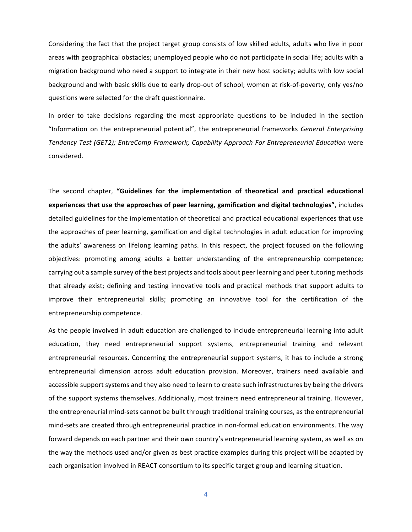Considering the fact that the project target group consists of low skilled adults, adults who live in poor areas with geographical obstacles; unemployed people who do not participate in social life; adults with a migration background who need a support to integrate in their new host society; adults with low social background and with basic skills due to early drop-out of school; women at risk-of-poverty, only yes/no questions were selected for the draft questionnaire.

In order to take decisions regarding the most appropriate questions to be included in the section "Information on the entrepreneurial potential", the entrepreneurial frameworks *General Enterprising* Tendency Test (GET2); EntreComp Framework; Capability Approach For Entrepreneurial Education were considered.

The second chapter, "Guidelines for the implementation of theoretical and practical educational experiences that use the approaches of peer learning, gamification and digital technologies", includes detailed guidelines for the implementation of theoretical and practical educational experiences that use the approaches of peer learning, gamification and digital technologies in adult education for improving the adults' awareness on lifelong learning paths. In this respect, the project focused on the following objectives: promoting among adults a better understanding of the entrepreneurship competence; carrying out a sample survey of the best projects and tools about peer learning and peer tutoring methods that already exist; defining and testing innovative tools and practical methods that support adults to improve their entrepreneurial skills; promoting an innovative tool for the certification of the entrepreneurship competence.

As the people involved in adult education are challenged to include entrepreneurial learning into adult education, they need entrepreneurial support systems, entrepreneurial training and relevant entrepreneurial resources. Concerning the entrepreneurial support systems, it has to include a strong entrepreneurial dimension across adult education provision. Moreover, trainers need available and accessible support systems and they also need to learn to create such infrastructures by being the drivers of the support systems themselves. Additionally, most trainers need entrepreneurial training. However, the entrepreneurial mind-sets cannot be built through traditional training courses, as the entrepreneurial mind-sets are created through entrepreneurial practice in non-formal education environments. The way forward depends on each partner and their own country's entrepreneurial learning system, as well as on the way the methods used and/or given as best practice examples during this project will be adapted by each organisation involved in REACT consortium to its specific target group and learning situation.

4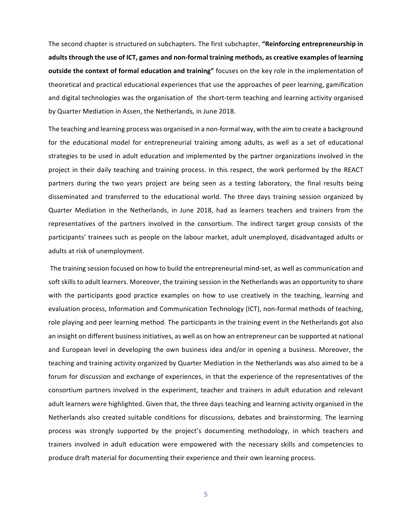The second chapter is structured on subchapters. The first subchapter, "Reinforcing entrepreneurship in adults through the use of ICT, games and non-formal training methods, as creative examples of learning **outside the context of formal education and training"** focuses on the key role in the implementation of theoretical and practical educational experiences that use the approaches of peer learning, gamification and digital technologies was the organisation of the short-term teaching and learning activity organised by Quarter Mediation in Assen, the Netherlands, in June 2018.

The teaching and learning process was organised in a non-formal way, with the aim to create a background for the educational model for entrepreneurial training among adults, as well as a set of educational strategies to be used in adult education and implemented by the partner organizations involved in the project in their daily teaching and training process. In this respect, the work performed by the REACT partners during the two years project are being seen as a testing laboratory, the final results being disseminated and transferred to the educational world. The three days training session organized by Quarter Mediation in the Netherlands, in June 2018, had as learners teachers and trainers from the representatives of the partners involved in the consortium. The indirect target group consists of the participants' trainees such as people on the labour market, adult unemployed, disadvantaged adults or adults at risk of unemployment.

The training session focused on how to build the entrepreneurial mind-set, as well as communication and soft skills to adult learners. Moreover, the training session in the Netherlands was an opportunity to share with the participants good practice examples on how to use creatively in the teaching, learning and evaluation process, Information and Communication Technology (ICT), non-formal methods of teaching, role playing and peer learning method. The participants in the training event in the Netherlands got also an insight on different business initiatives, as well as on how an entrepreneur can be supported at national and European level in developing the own business idea and/or in opening a business. Moreover, the teaching and training activity organized by Quarter Mediation in the Netherlands was also aimed to be a forum for discussion and exchange of experiences, in that the experience of the representatives of the consortium partners involved in the experiment, teacher and trainers in adult education and relevant adult learners were highlighted. Given that, the three days teaching and learning activity organised in the Netherlands also created suitable conditions for discussions, debates and brainstorming. The learning process was strongly supported by the project's documenting methodology, in which teachers and trainers involved in adult education were empowered with the necessary skills and competencies to produce draft material for documenting their experience and their own learning process.

5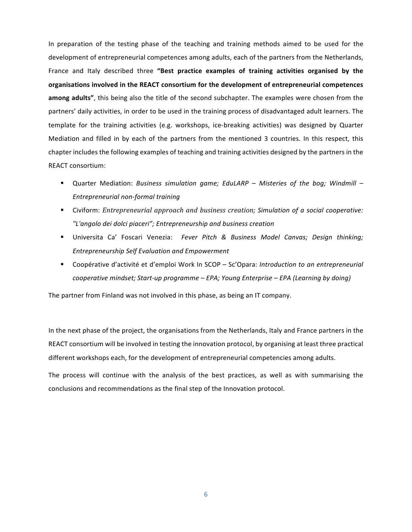In preparation of the testing phase of the teaching and training methods aimed to be used for the development of entrepreneurial competences among adults, each of the partners from the Netherlands, France and Italy described three "Best practice examples of training activities organised by the organisations involved in the REACT consortium for the development of entrepreneurial competences **among adults"**, this being also the title of the second subchapter. The examples were chosen from the partners' daily activities, in order to be used in the training process of disadvantaged adult learners. The template for the training activities (e.g. workshops, ice-breaking activities) was designed by Quarter Mediation and filled in by each of the partners from the mentioned 3 countries. In this respect, this chapter includes the following examples of teaching and training activities designed by the partners in the REACT consortium:

- Quarter Mediation: *Business simulation game; EduLARP Misteries of the bog; Windmill − Entrepreneurial non-formal training*
- Civiform: *Entrepreneurial approach and business creation; Simulation of a social cooperative: "L'angolo dei dolci piaceri"; Entrepreneurship and business creation*
- § Universita Ca' Foscari Venezia: *Fever Pitch & Business Model Canvas; Design thinking; Entrepreneurship Self Evaluation and Empowerment*
- Coopérative d'activité et d'emploi Work In SCOP Sc'Opara: *Introduction to an entrepreneurial cooperative mindset; Start-up programme – EPA; Young Enterprise – EPA (Learning by doing)*

The partner from Finland was not involved in this phase, as being an IT company.

In the next phase of the project, the organisations from the Netherlands, Italy and France partners in the REACT consortium will be involved in testing the innovation protocol, by organising at least three practical different workshops each, for the development of entrepreneurial competencies among adults.

The process will continue with the analysis of the best practices, as well as with summarising the conclusions and recommendations as the final step of the Innovation protocol.